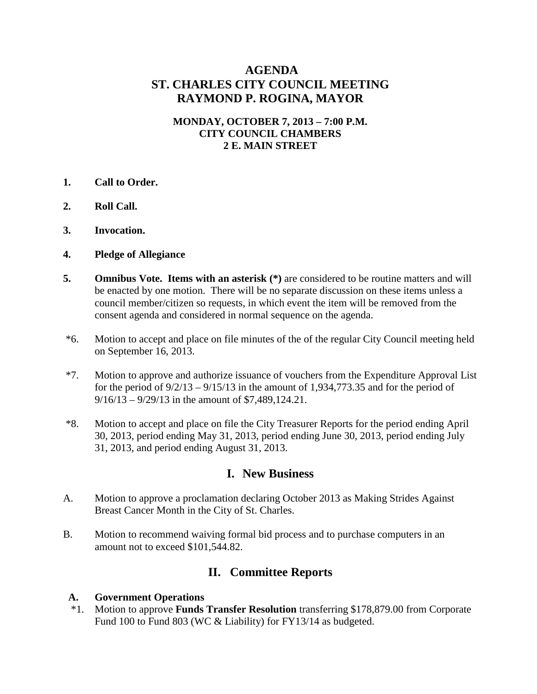# **AGENDA ST. CHARLES CITY COUNCIL MEETING RAYMOND P. ROGINA, MAYOR**

#### **MONDAY, OCTOBER 7, 2013 – 7:00 P.M. CITY COUNCIL CHAMBERS 2 E. MAIN STREET**

- **1. Call to Order.**
- **2. Roll Call.**
- **3. Invocation.**
- **4. Pledge of Allegiance**
- **5. Omnibus Vote. Items with an asterisk** (\*) are considered to be routine matters and will be enacted by one motion. There will be no separate discussion on these items unless a council member/citizen so requests, in which event the item will be removed from the consent agenda and considered in normal sequence on the agenda.
- \*6. Motion to accept and place on file minutes of the of the regular City Council meeting held on September 16, 2013.
- \*7. Motion to approve and authorize issuance of vouchers from the Expenditure Approval List for the period of  $9/2/13 - 9/15/13$  in the amount of 1,934,773.35 and for the period of 9/16/13 – 9/29/13 in the amount of \$7,489,124.21.
- \*8. Motion to accept and place on file the City Treasurer Reports for the period ending April 30, 2013, period ending May 31, 2013, period ending June 30, 2013, period ending July 31, 2013, and period ending August 31, 2013.

# **I. New Business**

- A. Motion to approve a proclamation declaring October 2013 as Making Strides Against Breast Cancer Month in the City of St. Charles.
- B. Motion to recommend waiving formal bid process and to purchase computers in an amount not to exceed \$101,544.82.

# **II. Committee Reports**

#### **A. Government Operations**

 \*1. Motion to approve **Funds Transfer Resolution** transferring \$178,879.00 from Corporate Fund 100 to Fund 803 (WC & Liability) for FY13/14 as budgeted.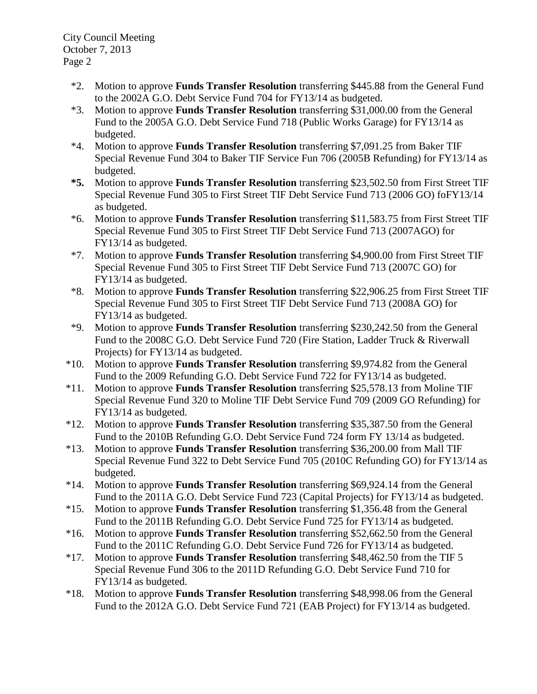City Council Meeting October 7, 2013 Page 2

- \*2. Motion to approve **Funds Transfer Resolution** transferring \$445.88 from the General Fund to the 2002A G.O. Debt Service Fund 704 for FY13/14 as budgeted.
- \*3. Motion to approve **Funds Transfer Resolution** transferring \$31,000.00 from the General Fund to the 2005A G.O. Debt Service Fund 718 (Public Works Garage) for FY13/14 as budgeted.
- \*4. Motion to approve **Funds Transfer Resolution** transferring \$7,091.25 from Baker TIF Special Revenue Fund 304 to Baker TIF Service Fun 706 (2005B Refunding) for FY13/14 as budgeted.
- **\*5.** Motion to approve **Funds Transfer Resolution** transferring \$23,502.50 from First Street TIF Special Revenue Fund 305 to First Street TIF Debt Service Fund 713 (2006 GO) foFY13/14 as budgeted.
- \*6. Motion to approve **Funds Transfer Resolution** transferring \$11,583.75 from First Street TIF Special Revenue Fund 305 to First Street TIF Debt Service Fund 713 (2007AGO) for FY13/14 as budgeted.
- \*7. Motion to approve **Funds Transfer Resolution** transferring \$4,900.00 from First Street TIF Special Revenue Fund 305 to First Street TIF Debt Service Fund 713 (2007C GO) for FY13/14 as budgeted.
- \*8. Motion to approve **Funds Transfer Resolution** transferring \$22,906.25 from First Street TIF Special Revenue Fund 305 to First Street TIF Debt Service Fund 713 (2008A GO) for FY13/14 as budgeted.
- \*9. Motion to approve **Funds Transfer Resolution** transferring \$230,242.50 from the General Fund to the 2008C G.O. Debt Service Fund 720 (Fire Station, Ladder Truck & Riverwall Projects) for FY13/14 as budgeted.
- \*10. Motion to approve **Funds Transfer Resolution** transferring \$9,974.82 from the General Fund to the 2009 Refunding G.O. Debt Service Fund 722 for FY13/14 as budgeted.
- \*11. Motion to approve **Funds Transfer Resolution** transferring \$25,578.13 from Moline TIF Special Revenue Fund 320 to Moline TIF Debt Service Fund 709 (2009 GO Refunding) for FY13/14 as budgeted.
- \*12. Motion to approve **Funds Transfer Resolution** transferring \$35,387.50 from the General Fund to the 2010B Refunding G.O. Debt Service Fund 724 form FY 13/14 as budgeted.
- \*13. Motion to approve **Funds Transfer Resolution** transferring \$36,200.00 from Mall TIF Special Revenue Fund 322 to Debt Service Fund 705 (2010C Refunding GO) for FY13/14 as budgeted.
- \*14. Motion to approve **Funds Transfer Resolution** transferring \$69,924.14 from the General Fund to the 2011A G.O. Debt Service Fund 723 (Capital Projects) for FY13/14 as budgeted.
- \*15. Motion to approve **Funds Transfer Resolution** transferring \$1,356.48 from the General Fund to the 2011B Refunding G.O. Debt Service Fund 725 for FY13/14 as budgeted.
- \*16. Motion to approve **Funds Transfer Resolution** transferring \$52,662.50 from the General Fund to the 2011C Refunding G.O. Debt Service Fund 726 for FY13/14 as budgeted.
- \*17. Motion to approve **Funds Transfer Resolution** transferring \$48,462.50 from the TIF 5 Special Revenue Fund 306 to the 2011D Refunding G.O. Debt Service Fund 710 for FY13/14 as budgeted.
- \*18. Motion to approve **Funds Transfer Resolution** transferring \$48,998.06 from the General Fund to the 2012A G.O. Debt Service Fund 721 (EAB Project) for FY13/14 as budgeted.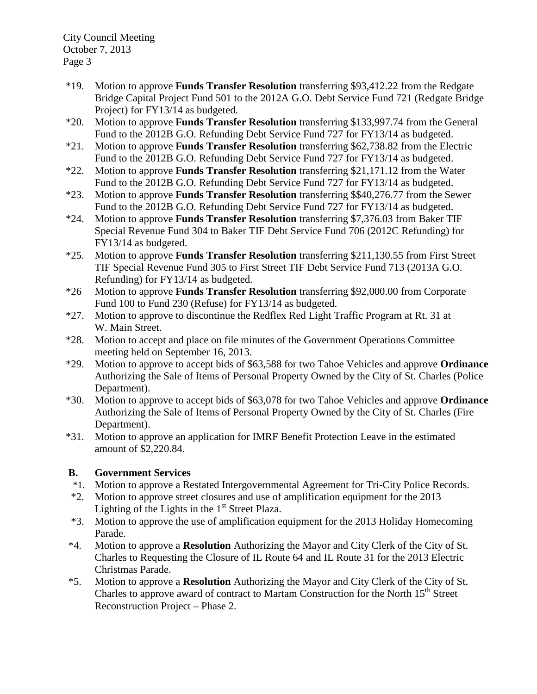City Council Meeting October 7, 2013 Page 3

- \*19. Motion to approve **Funds Transfer Resolution** transferring \$93,412.22 from the Redgate Bridge Capital Project Fund 501 to the 2012A G.O. Debt Service Fund 721 (Redgate Bridge Project) for FY13/14 as budgeted.
- \*20. Motion to approve **Funds Transfer Resolution** transferring \$133,997.74 from the General Fund to the 2012B G.O. Refunding Debt Service Fund 727 for FY13/14 as budgeted.
- \*21. Motion to approve **Funds Transfer Resolution** transferring \$62,738.82 from the Electric Fund to the 2012B G.O. Refunding Debt Service Fund 727 for FY13/14 as budgeted.
- \*22. Motion to approve **Funds Transfer Resolution** transferring \$21,171.12 from the Water Fund to the 2012B G.O. Refunding Debt Service Fund 727 for FY13/14 as budgeted.
- \*23. Motion to approve **Funds Transfer Resolution** transferring \$\$40,276.77 from the Sewer Fund to the 2012B G.O. Refunding Debt Service Fund 727 for FY13/14 as budgeted.
- \*24. Motion to approve **Funds Transfer Resolution** transferring \$7,376.03 from Baker TIF Special Revenue Fund 304 to Baker TIF Debt Service Fund 706 (2012C Refunding) for FY13/14 as budgeted.
- \*25. Motion to approve **Funds Transfer Resolution** transferring \$211,130.55 from First Street TIF Special Revenue Fund 305 to First Street TIF Debt Service Fund 713 (2013A G.O. Refunding) for FY13/14 as budgeted.
- \*26 Motion to approve **Funds Transfer Resolution** transferring \$92,000.00 from Corporate Fund 100 to Fund 230 (Refuse) for FY13/14 as budgeted.
- \*27. Motion to approve to discontinue the Redflex Red Light Traffic Program at Rt. 31 at W. Main Street.
- \*28. Motion to accept and place on file minutes of the Government Operations Committee meeting held on September 16, 2013.
- \*29. Motion to approve to accept bids of \$63,588 for two Tahoe Vehicles and approve **Ordinance**  Authorizing the Sale of Items of Personal Property Owned by the City of St. Charles (Police Department).
- \*30. Motion to approve to accept bids of \$63,078 for two Tahoe Vehicles and approve **Ordinance** Authorizing the Sale of Items of Personal Property Owned by the City of St. Charles (Fire Department).
- \*31. Motion to approve an application for IMRF Benefit Protection Leave in the estimated amount of \$2,220.84.

## **B. Government Services**

- \*1. Motion to approve a Restated Intergovernmental Agreement for Tri-City Police Records.
- \*2. Motion to approve street closures and use of amplification equipment for the 2013 Lighting of the Lights in the  $1<sup>st</sup>$  Street Plaza.
- \*3. Motion to approve the use of amplification equipment for the 2013 Holiday Homecoming Parade.
- \*4. Motion to approve a **Resolution** Authorizing the Mayor and City Clerk of the City of St. Charles to Requesting the Closure of IL Route 64 and IL Route 31 for the 2013 Electric Christmas Parade.
- \*5. Motion to approve a **Resolution** Authorizing the Mayor and City Clerk of the City of St. Charles to approve award of contract to Martam Construction for the North  $15<sup>th</sup>$  Street Reconstruction Project – Phase 2.